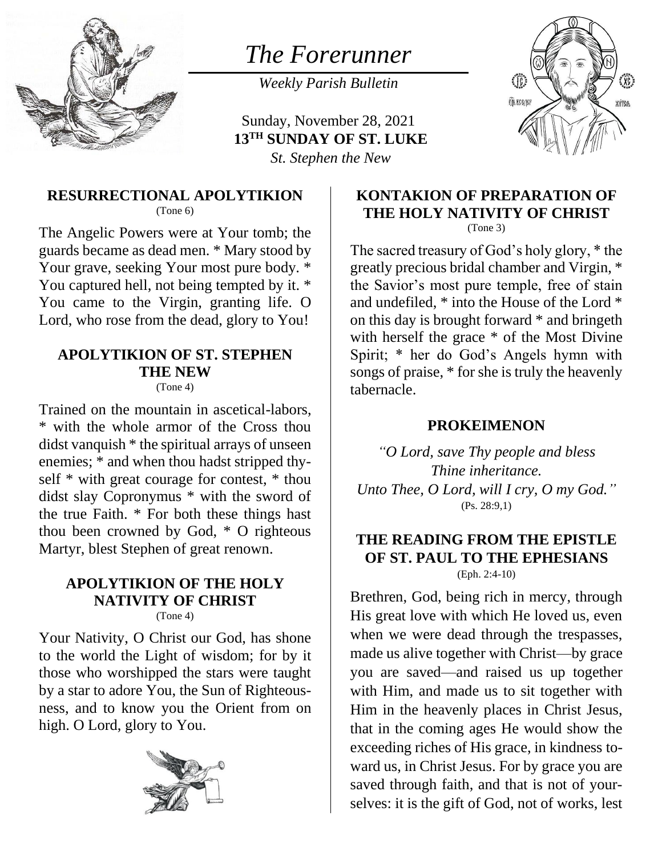

# *The Forerunner*

*Weekly Parish Bulletin*

Sunday, November 28, 2021 **13TH SUNDAY OF ST. LUKE** *St. Stephen the New*



#### **RESURRECTIONAL APOLYTIKION** (Tone 6)

The Angelic Powers were at Your tomb; the guards became as dead men. \* Mary stood by Your grave, seeking Your most pure body. \* You captured hell, not being tempted by it. \* You came to the Virgin, granting life. O Lord, who rose from the dead, glory to You!

# **APOLYTIKION OF ST. STEPHEN THE NEW**

(Tone 4)

Trained on the mountain in ascetical-labors, \* with the whole armor of the Cross thou didst vanquish \* the spiritual arrays of unseen enemies; \* and when thou hadst stripped thyself \* with great courage for contest, \* thou didst slay Copronymus \* with the sword of the true Faith. \* For both these things hast thou been crowned by God, \* O righteous Martyr, blest Stephen of great renown.

#### **APOLYTIKION OF THE HOLY NATIVITY OF CHRIST** (Tone 4)

Your Nativity, O Christ our God, has shone to the world the Light of wisdom; for by it those who worshipped the stars were taught by a star to adore You, the Sun of Righteousness, and to know you the Orient from on high. O Lord, glory to You.



#### **KONTAKION OF PREPARATION OF THE HOLY NATIVITY OF CHRIST** (Tone 3)

The sacred treasury of God's holy glory, \* the greatly precious bridal chamber and Virgin, \* the Savior's most pure temple, free of stain and undefiled, \* into the House of the Lord \* on this day is brought forward \* and bringeth with herself the grace  $*$  of the Most Divine Spirit; \* her do God's Angels hymn with songs of praise, \* for she is truly the heavenly tabernacle.

#### **PROKEIMENON**

*"O Lord, save Thy people and bless Thine inheritance. Unto Thee, O Lord, will I cry, O my God."* (Ps. 28:9,1)

#### **THE READING FROM THE EPISTLE OF ST. PAUL TO THE EPHESIANS** (Eph. 2:4-10)

Brethren, God, being rich in mercy, through His great love with which He loved us, even when we were dead through the trespasses, made us alive together with Christ—by grace you are saved—and raised us up together with Him, and made us to sit together with Him in the heavenly places in Christ Jesus, that in the coming ages He would show the exceeding riches of His grace, in kindness toward us, in Christ Jesus. For by grace you are saved through faith, and that is not of yourselves: it is the gift of God, not of works, lest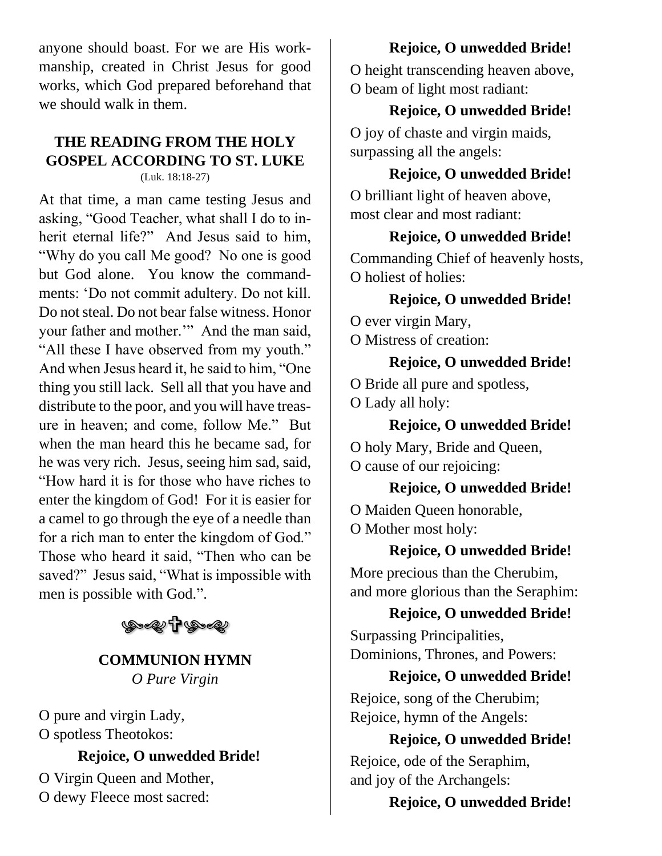anyone should boast. For we are His workmanship, created in Christ Jesus for good works, which God prepared beforehand that we should walk in them.

#### **THE READING FROM THE HOLY GOSPEL ACCORDING TO ST. LUKE** (Luk. 18:18-27)

At that time, a man came testing Jesus and asking, "Good Teacher, what shall I do to inherit eternal life?" And Jesus said to him, "Why do you call Me good? No one is good but God alone. You know the commandments: 'Do not commit adultery. Do not kill. Do not steal. Do not bear false witness. Honor your father and mother.'" And the man said, "All these I have observed from my youth." And when Jesus heard it, he said to him, "One thing you still lack. Sell all that you have and distribute to the poor, and you will have treasure in heaven; and come, follow Me." But when the man heard this he became sad, for he was very rich. Jesus, seeing him sad, said, "How hard it is for those who have riches to enter the kingdom of God! For it is easier for a camel to go through the eye of a needle than for a rich man to enter the kingdom of God." Those who heard it said, "Then who can be saved?" Jesus said, "What is impossible with men is possible with God.".



# **COMMUNION HYMN** *O Pure Virgin*

O pure and virgin Lady, O spotless Theotokos:

# **Rejoice, O unwedded Bride!**

O Virgin Queen and Mother, O dewy Fleece most sacred:

# **Rejoice, O unwedded Bride!**

O height transcending heaven above, O beam of light most radiant:

# **Rejoice, O unwedded Bride!**

O joy of chaste and virgin maids, surpassing all the angels:

# **Rejoice, O unwedded Bride!**

O brilliant light of heaven above, most clear and most radiant:

### **Rejoice, O unwedded Bride!**

Commanding Chief of heavenly hosts, O holiest of holies:

# **Rejoice, O unwedded Bride!**

O ever virgin Mary,

O Mistress of creation:

# **Rejoice, O unwedded Bride!**

O Bride all pure and spotless,

O Lady all holy:

# **Rejoice, O unwedded Bride!**

O holy Mary, Bride and Queen, O cause of our rejoicing:

**Rejoice, O unwedded Bride!** O Maiden Queen honorable, O Mother most holy:

**Rejoice, O unwedded Bride!**

More precious than the Cherubim, and more glorious than the Seraphim:

# **Rejoice, O unwedded Bride!**

Surpassing Principalities, Dominions, Thrones, and Powers:

# **Rejoice, O unwedded Bride!**

Rejoice, song of the Cherubim; Rejoice, hymn of the Angels:

# **Rejoice, O unwedded Bride!**

Rejoice, ode of the Seraphim, and joy of the Archangels:

# **Rejoice, O unwedded Bride!**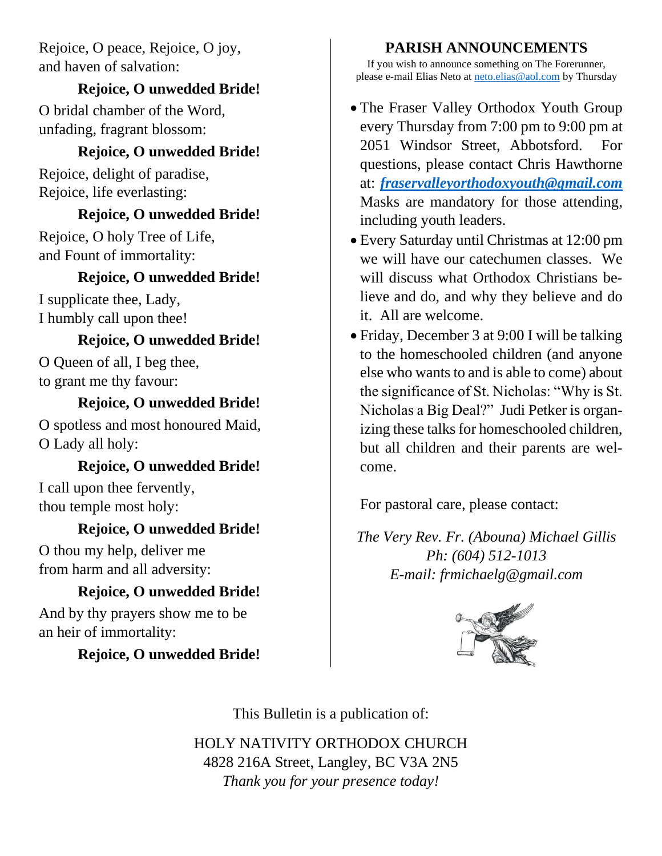Rejoice, O peace, Rejoice, O joy, and haven of salvation:

#### **Rejoice, O unwedded Bride!**

O bridal chamber of the Word, unfading, fragrant blossom:

### **Rejoice, O unwedded Bride!**

Rejoice, delight of paradise, Rejoice, life everlasting:

#### **Rejoice, O unwedded Bride!**

Rejoice, O holy Tree of Life, and Fount of immortality:

# **Rejoice, O unwedded Bride!**

I supplicate thee, Lady, I humbly call upon thee!

### **Rejoice, O unwedded Bride!**

O Queen of all, I beg thee, to grant me thy favour:

### **Rejoice, O unwedded Bride!**

O spotless and most honoured Maid, O Lady all holy:

# **Rejoice, O unwedded Bride!**

I call upon thee fervently, thou temple most holy:

# **Rejoice, O unwedded Bride!**

O thou my help, deliver me from harm and all adversity:

# **Rejoice, O unwedded Bride!**

And by thy prayers show me to be an heir of immortality:

# **Rejoice, O unwedded Bride!**

### **PARISH ANNOUNCEMENTS**

If you wish to announce something on The Forerunner, please e-mail Elias Neto at [neto.elias@aol.com](mailto:neto.elias@aol.com) by Thursday

- The Fraser Valley Orthodox Youth Group every Thursday from 7:00 pm to 9:00 pm at 2051 Windsor Street, Abbotsford. For questions, please contact Chris Hawthorne at: *[fraservalleyorthodoxyouth@gmail.com](mailto:fraservalleyorthodoxyouth@gmail.com)* Masks are mandatory for those attending, including youth leaders.
- Every Saturday until Christmas at 12:00 pm we will have our catechumen classes. We will discuss what Orthodox Christians believe and do, and why they believe and do it. All are welcome.
- Friday, December 3 at 9:00 I will be talking to the homeschooled children (and anyone else who wants to and is able to come) about the significance of St. Nicholas: "Why is St. Nicholas a Big Deal?" Judi Petker is organizing these talks for homeschooled children, but all children and their parents are welcome.

For pastoral care, please contact:

*The Very Rev. Fr. (Abouna) Michael Gillis Ph: (604) 512-1013 E-mail: frmichaelg@gmail.com*



This Bulletin is a publication of:

HOLY NATIVITY ORTHODOX CHURCH 4828 216A Street, Langley, BC V3A 2N5 *Thank you for your presence today!*